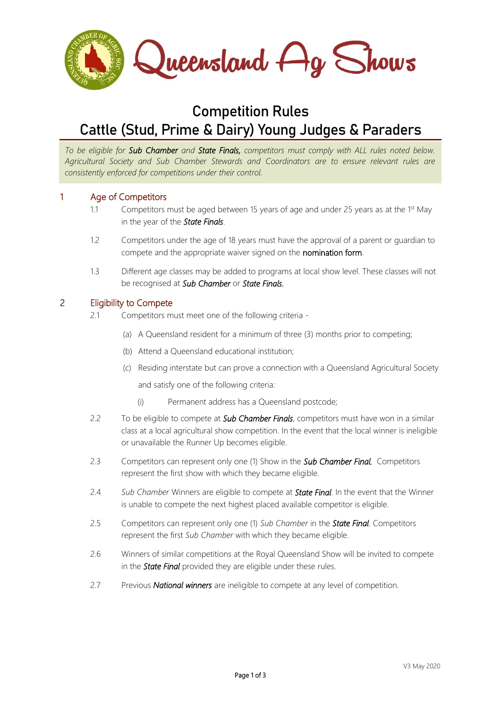

# **Competition Rules Cattle (Stud, Prime & Dairy) Young Judges & Paraders**

*To be eligible for Sub Chamber and State Finals, competitors must comply with ALL rules noted below. Agricultural Society and Sub Chamber Stewards and Coordinators are to ensure relevant rules are consistently enforced for competitions under their control.* 

## 1 Age of Competitors

- 1.1 Competitors must be aged between 15 years of age and under 25 years as at the 1<sup>st</sup> May in the year of the *State Finals*.
- 1.2 Competitors under the age of 18 years must have the approval of a parent or guardian to compete and the appropriate waiver signed on the nomination form.
- 1.3 Different age classes may be added to programs at local show level. These classes will not be recognised at *Sub Chamber* or *State Finals.*

#### 2 Eligibility to Compete

- 2.1 Competitors must meet one of the following criteria
	- (a) A Queensland resident for a minimum of three (3) months prior to competing;
	- (b) Attend a Queensland educational institution;
	- (c) Residing interstate but can prove a connection with a Queensland Agricultural Society and satisfy one of the following criteria:
		- (i) Permanent address has a Queensland postcode;
- 2.2 To be eligible to compete at *Sub Chamber Finals*, competitors must have won in a similar class at a local agricultural show competition. In the event that the local winner is ineligible or unavailable the Runner Up becomes eligible.
- 2.3 Competitors can represent only one (1) Show in the *Sub Chamber Final.* Competitors represent the first show with which they became eligible.
- 2.4 *Sub Chamber* Winners are eligible to compete at *State Final*. In the event that the Winner is unable to compete the next highest placed available competitor is eligible.
- 2.5 Competitors can represent only one (1) *Sub Chamber* in the *State Final*. Competitors represent the first *Sub Chamber* with which they became eligible.
- 2.6 Winners of similar competitions at the Royal Queensland Show will be invited to compete in the *State Final* provided they are eligible under these rules.
- 2.7 Previous *National winners* are ineligible to compete at any level of competition.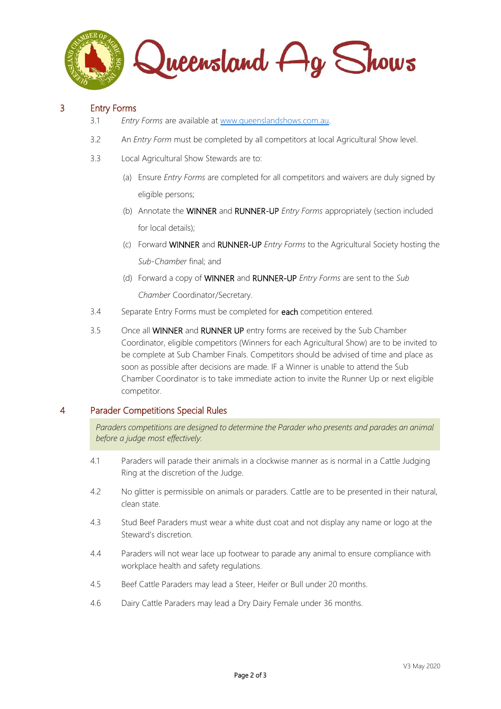

# 3 Entry Forms

- 3.1 *Entry Forms* are available at [www.queenslandshows.com.au.](http://www.queenslandshows.com.au/)
- 3.2 An *Entry Form* must be completed by all competitors at local Agricultural Show level.
- 3.3 Local Agricultural Show Stewards are to:
	- (a) Ensure *Entry Forms* are completed for all competitors and waivers are duly signed by eligible persons;
	- (b) Annotate the WINNER and RUNNER-UP *Entry Forms* appropriately (section included for local details);
	- (c) Forward WINNER and RUNNER-UP *Entry Forms* to the Agricultural Society hosting the *Sub-Chamber* final; and
	- (d) Forward a copy of WINNER and RUNNER-UP *Entry Forms* are sent to the *Sub Chamber* Coordinator/Secretary.
- 3.4 Separate Entry Forms must be completed for each competition entered.
- 3.5 Once all WINNER and RUNNER UP entry forms are received by the Sub Chamber Coordinator, eligible competitors (Winners for each Agricultural Show) are to be invited to be complete at Sub Chamber Finals. Competitors should be advised of time and place as soon as possible after decisions are made. IF a Winner is unable to attend the Sub Chamber Coordinator is to take immediate action to invite the Runner Up or next eligible competitor.

# 4 Parader Competitions Special Rules

*Paraders competitions are designed to determine the Parader who presents and parades an animal before a judge most effectively.* 

- 4.1 Paraders will parade their animals in a clockwise manner as is normal in a Cattle Judging Ring at the discretion of the Judge.
- 4.2 No glitter is permissible on animals or paraders. Cattle are to be presented in their natural, clean state.
- 4.3 Stud Beef Paraders must wear a white dust coat and not display any name or logo at the Steward's discretion.
- 4.4 Paraders will not wear lace up footwear to parade any animal to ensure compliance with workplace health and safety regulations.
- 4.5 Beef Cattle Paraders may lead a Steer, Heifer or Bull under 20 months.
- 4.6 Dairy Cattle Paraders may lead a Dry Dairy Female under 36 months.